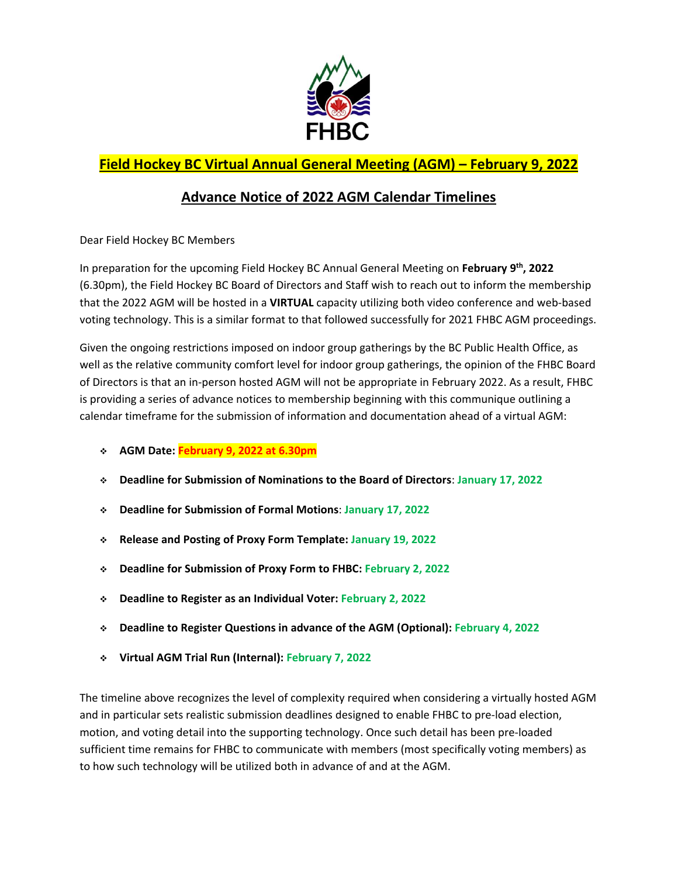

## **Field Hockey BC Virtual Annual General Meeting (AGM) – February 9, 2022**

## **Advance Notice of 2022 AGM Calendar Timelines**

Dear Field Hockey BC Members

In preparation for the upcoming Field Hockey BC Annual General Meeting on **February 9 th , 2022** (6.30pm), the Field Hockey BC Board of Directors and Staff wish to reach out to inform the membership that the 2022 AGM will be hosted in a **VIRTUAL** capacity utilizing both video conference and web-based voting technology. This is a similar format to that followed successfully for 2021 FHBC AGM proceedings.

Given the ongoing restrictions imposed on indoor group gatherings by the BC Public Health Office, as well as the relative community comfort level for indoor group gatherings, the opinion of the FHBC Board of Directors is that an in-person hosted AGM will not be appropriate in February 2022. As a result, FHBC is providing a series of advance notices to membership beginning with this communique outlining a calendar timeframe for the submission of information and documentation ahead of a virtual AGM:

- **AGM Date: February 9, 2022 at 6.30pm**
- **Deadline for Submission of Nominations to the Board of Directors**: **January 17, 2022**
- **Deadline for Submission of Formal Motions**: **January 17, 2022**
- **Release and Posting of Proxy Form Template: January 19, 2022**
- **Deadline for Submission of Proxy Form to FHBC: February 2, 2022**
- **Deadline to Register as an Individual Voter: February 2, 2022**
- **Deadline to Register Questions in advance of the AGM (Optional): February 4, 2022**
- **Virtual AGM Trial Run (Internal): February 7, 2022**

The timeline above recognizes the level of complexity required when considering a virtually hosted AGM and in particular sets realistic submission deadlines designed to enable FHBC to pre-load election, motion, and voting detail into the supporting technology. Once such detail has been pre-loaded sufficient time remains for FHBC to communicate with members (most specifically voting members) as to how such technology will be utilized both in advance of and at the AGM.